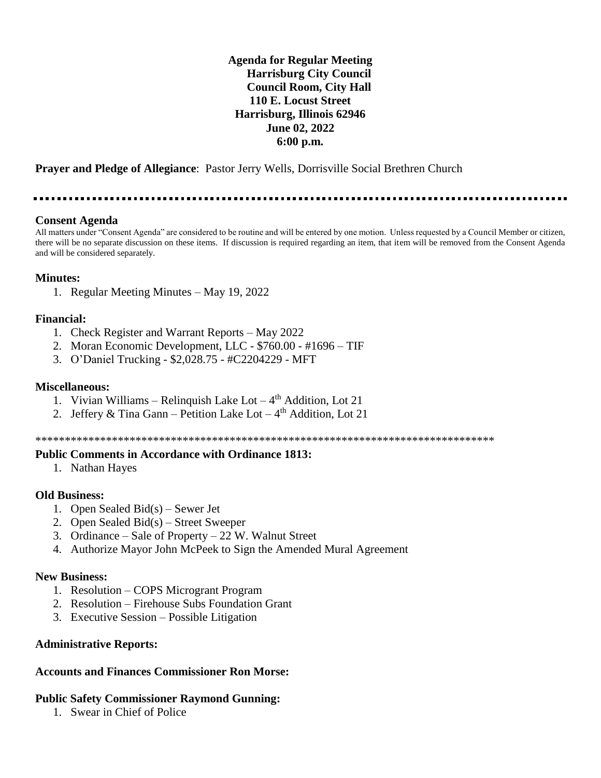**Agenda for Regular Meeting Harrisburg City Council Council Room, City Hall 110 E. Locust Street Harrisburg, Illinois 62946 June 02, 2022 6:00 p.m.**

**Prayer and Pledge of Allegiance**: Pastor Jerry Wells, Dorrisville Social Brethren Church

..............................

### **Consent Agenda**

All matters under "Consent Agenda" are considered to be routine and will be entered by one motion. Unless requested by a Council Member or citizen, there will be no separate discussion on these items. If discussion is required regarding an item, that item will be removed from the Consent Agenda and will be considered separately.

### **Minutes:**

1. Regular Meeting Minutes – May 19, 2022

### **Financial:**

- 1. Check Register and Warrant Reports May 2022
- 2. Moran Economic Development, LLC \$760.00 #1696 TIF
- 3. O'Daniel Trucking \$2,028.75 #C2204229 MFT

### **Miscellaneous:**

- 1. Vivian Williams Relinquish Lake Lot  $-4<sup>th</sup>$  Addition, Lot 21
- 2. Jeffery & Tina Gann Petition Lake Lot  $-4<sup>th</sup>$  Addition, Lot 21

\*\*\*\*\*\*\*\*\*\*\*\*\*\*\*\*\*\*\*\*\*\*\*\*\*\*\*\*\*\*\*\*\*\*\*\*\*\*\*\*\*\*\*\*\*\*\*\*\*\*\*\*\*\*\*\*\*\*\*\*\*\*\*\*\*\*\*\*\*\*\*\*\*\*\*\*\*\*

### **Public Comments in Accordance with Ordinance 1813:**

1. Nathan Hayes

### **Old Business:**

- 1. Open Sealed Bid(s) Sewer Jet
- 2. Open Sealed Bid(s) Street Sweeper
- 3. Ordinance Sale of Property 22 W. Walnut Street
- 4. Authorize Mayor John McPeek to Sign the Amended Mural Agreement

### **New Business:**

- 1. Resolution COPS Microgrant Program
- 2. Resolution Firehouse Subs Foundation Grant
- 3. Executive Session Possible Litigation

### **Administrative Reports:**

### **Accounts and Finances Commissioner Ron Morse:**

### **Public Safety Commissioner Raymond Gunning:**

1. Swear in Chief of Police